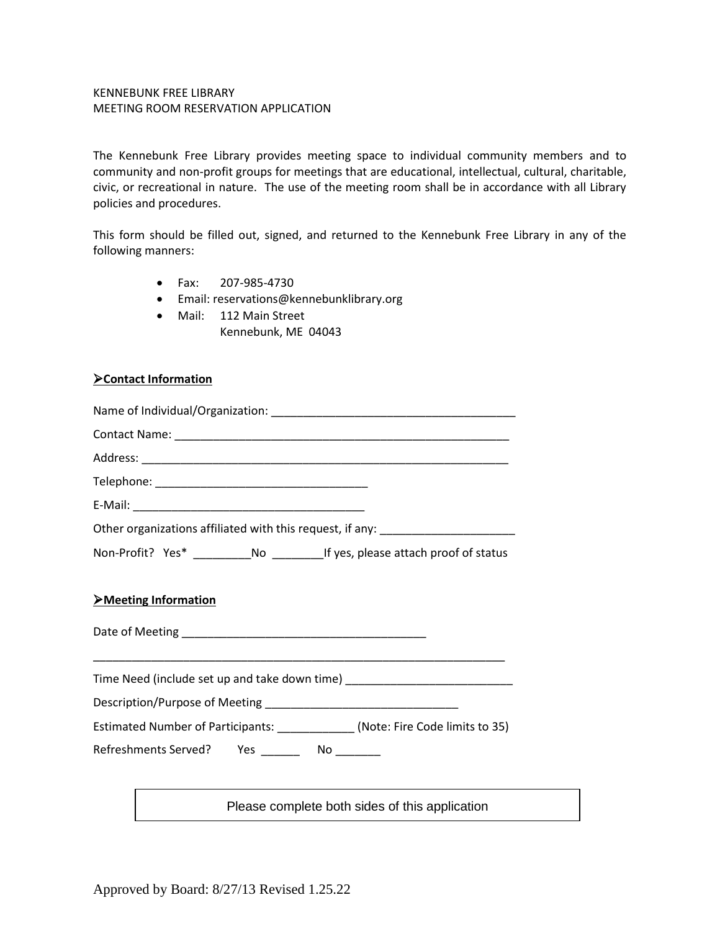## KENNEBUNK FREE LIBRARY MEETING ROOM RESERVATION APPLICATION

The Kennebunk Free Library provides meeting space to individual community members and to community and non-profit groups for meetings that are educational, intellectual, cultural, charitable, civic, or recreational in nature. The use of the meeting room shall be in accordance with all Library policies and procedures.

This form should be filled out, signed, and returned to the Kennebunk Free Library in any of the following manners:

- Fax: 207-985-4730
- Email: reservations@kennebunklibrary.org
- Mail: 112 Main Street Kennebunk, ME 04043

## ➢**Contact Information**

|                                                | Other organizations affiliated with this request, if any: ______________________                                                                                                                                                 |
|------------------------------------------------|----------------------------------------------------------------------------------------------------------------------------------------------------------------------------------------------------------------------------------|
|                                                |                                                                                                                                                                                                                                  |
| <b>Example 12 Meeting Information</b>          |                                                                                                                                                                                                                                  |
|                                                | Time Need (include set up and take down time) __________________________________                                                                                                                                                 |
|                                                |                                                                                                                                                                                                                                  |
|                                                | Estimated Number of Participants: _____________(Note: Fire Code limits to 35)                                                                                                                                                    |
| Refreshments Served? Yes _________ No ________ |                                                                                                                                                                                                                                  |
|                                                | the control of the control of the control of the control of the control of the control of the control of the control of the control of the control of the control of the control of the control of the control of the control    |
|                                                | $\frac{1}{2}$ . The set of the set of the set of the set of the set of the set of the set of the set of the set of the set of the set of the set of the set of the set of the set of the set of the set of the set of the set of |

Please complete both sides of this application